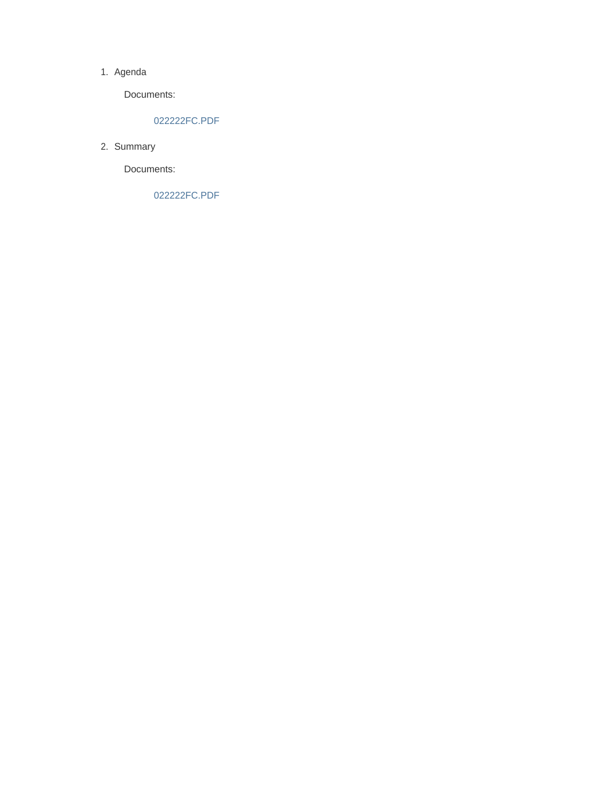#### 1. Agenda

Documents:

### 022222FC.PDF

2. Summary

Documents:

022222FC.PDF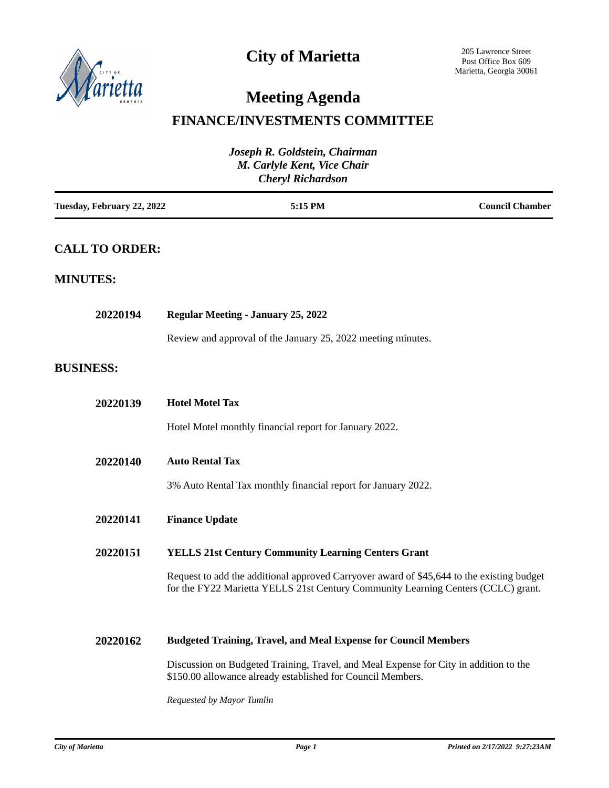

# **City of Marietta**

# **Meeting Agenda**

## **FINANCE/INVESTMENTS COMMITTEE**

| Joseph R. Goldstein, Chairman<br>M. Carlyle Kent, Vice Chair<br><b>Cheryl Richardson</b> |                                                                                                                                                                                |                        |  |
|------------------------------------------------------------------------------------------|--------------------------------------------------------------------------------------------------------------------------------------------------------------------------------|------------------------|--|
| Tuesday, February 22, 2022                                                               | 5:15 PM                                                                                                                                                                        | <b>Council Chamber</b> |  |
| <b>CALL TO ORDER:</b>                                                                    |                                                                                                                                                                                |                        |  |
| <b>MINUTES:</b>                                                                          |                                                                                                                                                                                |                        |  |
| 20220194                                                                                 | <b>Regular Meeting - January 25, 2022</b>                                                                                                                                      |                        |  |
|                                                                                          | Review and approval of the January 25, 2022 meeting minutes.                                                                                                                   |                        |  |
| <b>BUSINESS:</b>                                                                         |                                                                                                                                                                                |                        |  |
| 20220139                                                                                 | <b>Hotel Motel Tax</b>                                                                                                                                                         |                        |  |
|                                                                                          | Hotel Motel monthly financial report for January 2022.                                                                                                                         |                        |  |
| 20220140                                                                                 | <b>Auto Rental Tax</b>                                                                                                                                                         |                        |  |
|                                                                                          | 3% Auto Rental Tax monthly financial report for January 2022.                                                                                                                  |                        |  |
| 20220141                                                                                 | <b>Finance Update</b>                                                                                                                                                          |                        |  |
| 20220151                                                                                 | <b>YELLS 21st Century Community Learning Centers Grant</b>                                                                                                                     |                        |  |
|                                                                                          | Request to add the additional approved Carryover award of \$45,644 to the existing budget<br>for the FY22 Marietta YELLS 21st Century Community Learning Centers (CCLC) grant. |                        |  |
| 20220162                                                                                 | <b>Budgeted Training, Travel, and Meal Expense for Council Members</b>                                                                                                         |                        |  |
|                                                                                          | Discussion on Budgeted Training, Travel, and Meal Expense for City in addition to the<br>\$150.00 allowance already established for Council Members.                           |                        |  |

*Requested by Mayor Tumlin*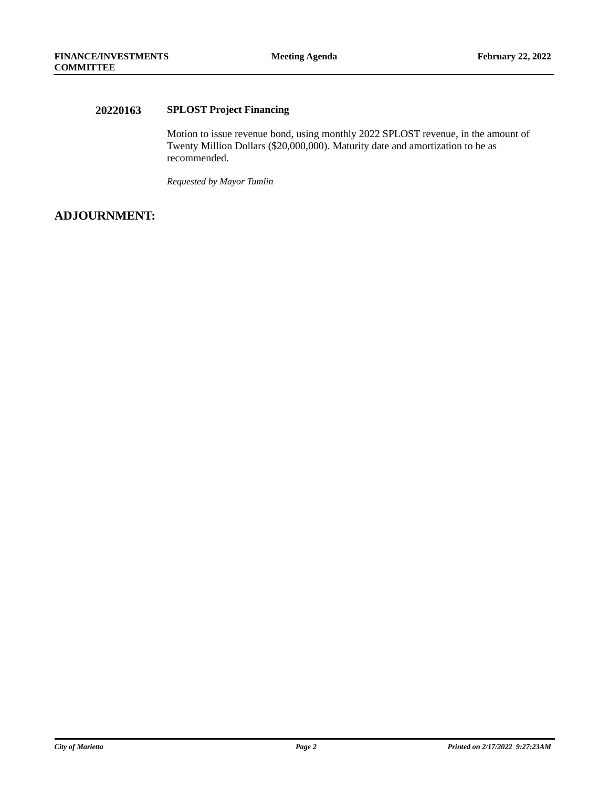### **20220163 SPLOST Project Financing**

Motion to issue revenue bond, using monthly 2022 SPLOST revenue, in the amount of Twenty Million Dollars (\$20,000,000). Maturity date and amortization to be as recommended.

*Requested by Mayor Tumlin*

### **ADJOURNMENT:**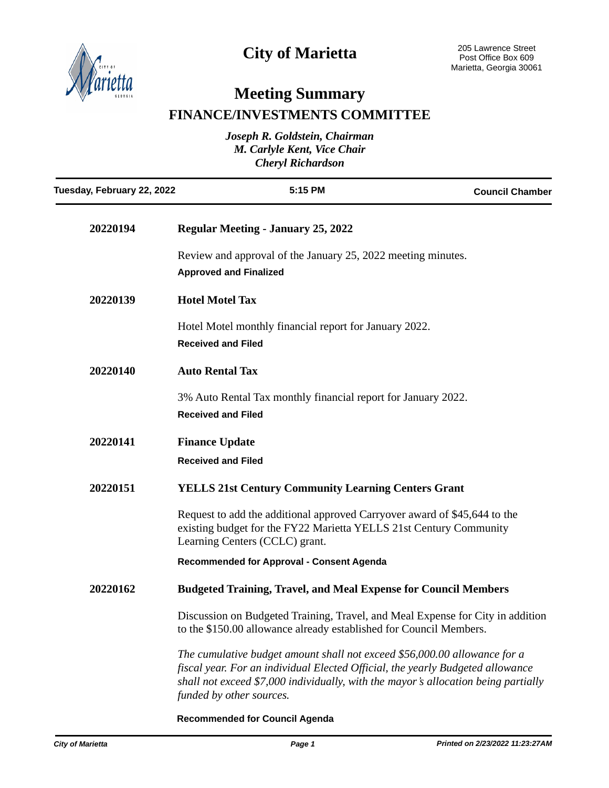

# **City of Marietta**

# **Meeting Summary FINANCE/INVESTMENTS COMMITTEE**

| Joseph R. Goldstein, Chairman<br>M. Carlyle Kent, Vice Chair<br><b>Cheryl Richardson</b> |                                                                                                                                                                                                                                                                               |                        |  |
|------------------------------------------------------------------------------------------|-------------------------------------------------------------------------------------------------------------------------------------------------------------------------------------------------------------------------------------------------------------------------------|------------------------|--|
| Tuesday, February 22, 2022                                                               | 5:15 PM                                                                                                                                                                                                                                                                       | <b>Council Chamber</b> |  |
| 20220194                                                                                 | <b>Regular Meeting - January 25, 2022</b>                                                                                                                                                                                                                                     |                        |  |
|                                                                                          | Review and approval of the January 25, 2022 meeting minutes.<br><b>Approved and Finalized</b>                                                                                                                                                                                 |                        |  |
| 20220139                                                                                 | <b>Hotel Motel Tax</b>                                                                                                                                                                                                                                                        |                        |  |
|                                                                                          | Hotel Motel monthly financial report for January 2022.<br><b>Received and Filed</b>                                                                                                                                                                                           |                        |  |
| 20220140                                                                                 | <b>Auto Rental Tax</b>                                                                                                                                                                                                                                                        |                        |  |
|                                                                                          | 3% Auto Rental Tax monthly financial report for January 2022.<br><b>Received and Filed</b>                                                                                                                                                                                    |                        |  |
| 20220141                                                                                 | <b>Finance Update</b>                                                                                                                                                                                                                                                         |                        |  |
|                                                                                          | <b>Received and Filed</b>                                                                                                                                                                                                                                                     |                        |  |
| 20220151                                                                                 | <b>YELLS 21st Century Community Learning Centers Grant</b>                                                                                                                                                                                                                    |                        |  |
|                                                                                          | Request to add the additional approved Carryover award of \$45,644 to the<br>existing budget for the FY22 Marietta YELLS 21st Century Community<br>Learning Centers (CCLC) grant.                                                                                             |                        |  |
|                                                                                          | Recommended for Approval - Consent Agenda                                                                                                                                                                                                                                     |                        |  |
| 20220162                                                                                 | <b>Budgeted Training, Travel, and Meal Expense for Council Members</b>                                                                                                                                                                                                        |                        |  |
|                                                                                          | Discussion on Budgeted Training, Travel, and Meal Expense for City in addition<br>to the \$150.00 allowance already established for Council Members.                                                                                                                          |                        |  |
|                                                                                          | The cumulative budget amount shall not exceed \$56,000.00 allowance for a<br>fiscal year. For an individual Elected Official, the yearly Budgeted allowance<br>shall not exceed \$7,000 individually, with the mayor's allocation being partially<br>funded by other sources. |                        |  |

**Recommended for Council Agenda**